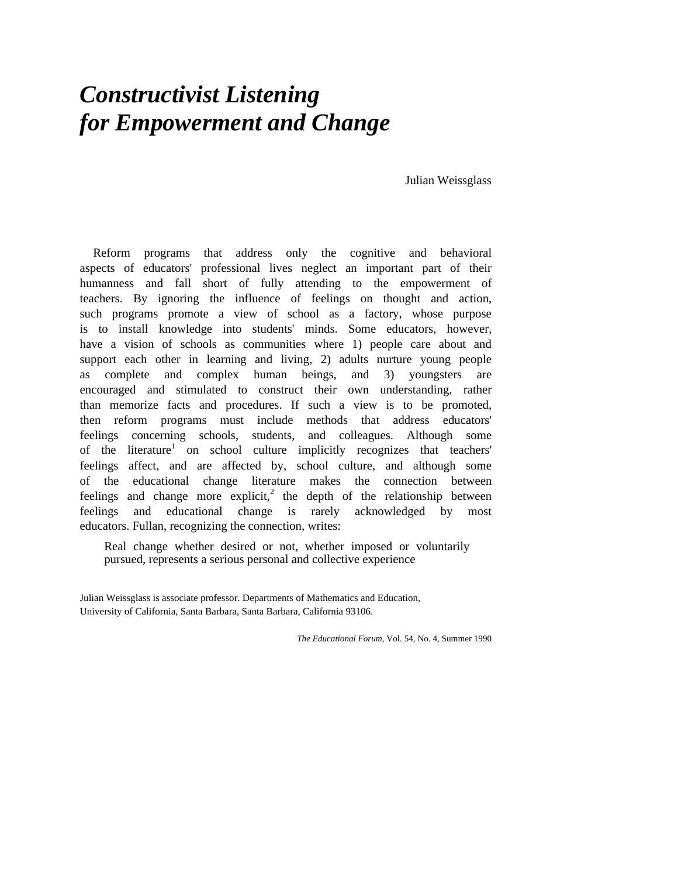# *Constructivist Listening for Empowerment and Change*

Julian Weissglass

Reform programs that address only the cognitive and behavioral aspects of educators' professional lives neglect an important part of their humanness and fall short of fully attending to the empowerment of teachers. By ignoring the influence of feelings on thought and action, such programs promote a view of school as a factory, whose purpose is to install knowledge into students' minds. Some educators, however, have a vision of schools as communities where 1) people care about and support each other in learning and living, 2) adults nurture young people as complete and complex human beings, and 3) youngsters are encouraged and stimulated to construct their own understanding, rather than memorize facts and procedures. If such a view is to be promoted, then reform programs must include methods that address educators' feelings concerning schools, students, and colleagues. Although some of the literature<sup>1</sup> on school culture implicitly recognizes that teachers' feelings affect, and are affected by, school culture, and although some of the educational change literature makes the connection between feelings and change more explicit,<sup>2</sup> the depth of the relationship between feelings and educational change is rarely acknowledged by most educators. Fullan, recognizing the connection, writes:

Real change whether desired or not, whether imposed or voluntarily pursued, represents a serious personal and collective experience

Julian Weissglass is associate professor. Departments of Mathematics and Education, University of California, Santa Barbara, Santa Barbara, California 93106.

*The Educational Forum,* Vol. 54, No. 4, Summer 1990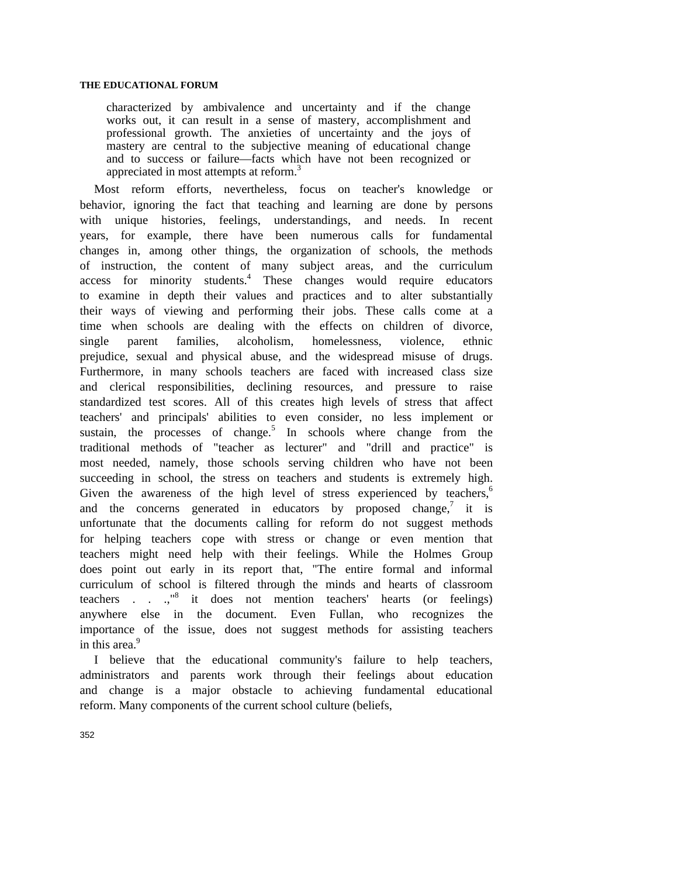characterized by ambivalence and uncertainty and if the change works out, it can result in a sense of mastery, accomplishment and professional growth. The anxieties of uncertainty and the joys of mastery are central to the subjective meaning of educational change and to success or failure—facts which have not been recognized or appreciated in most attempts at reform.<sup>3</sup>

Most reform efforts, nevertheless, focus on teacher's knowledge or behavior, ignoring the fact that teaching and learning are done by persons with unique histories, feelings, understandings, and needs. In recent years, for example, there have been numerous calls for fundamental changes in, among other things, the organization of schools, the methods of instruction, the content of many subject areas, and the curriculum access for minority students.<sup>4</sup> These changes would require educators to examine in depth their values and practices and to alter substantially their ways of viewing and performing their jobs. These calls come at a time when schools are dealing with the effects on children of divorce, single parent families, alcoholism, homelessness, violence, ethnic prejudice, sexual and physical abuse, and the widespread misuse of drugs. Furthermore, in many schools teachers are faced with increased class size and clerical responsibilities, declining resources, and pressure to raise standardized test scores. All of this creates high levels of stress that affect teachers' and principals' abilities to even consider, no less implement or sustain, the processes of change.<sup>5</sup> In schools where change from the traditional methods of "teacher as lecturer" and "drill and practice" is most needed, namely, those schools serving children who have not been succeeding in school, the stress on teachers and students is extremely high. Given the awareness of the high level of stress experienced by teachers,<sup>6</sup> and the concerns generated in educators by proposed change,<sup>7</sup> it is unfortunate that the documents calling for reform do not suggest methods for helping teachers cope with stress or change or even mention that teachers might need help with their feelings. While the Holmes Group does point out early in its report that, "The entire formal and informal curriculum of school is filtered through the minds and hearts of classroom teachers . . .,<sup>"8</sup> it does not mention teachers' hearts (or feelings) anywhere else in the document. Even Fullan, who recognizes the importance of the issue, does not suggest methods for assisting teachers in this area.<sup>9</sup>

I believe that the educational community's failure to help teachers, administrators and parents work through their feelings about education and change is a major obstacle to achieving fundamental educational reform. Many components of the current school culture (beliefs,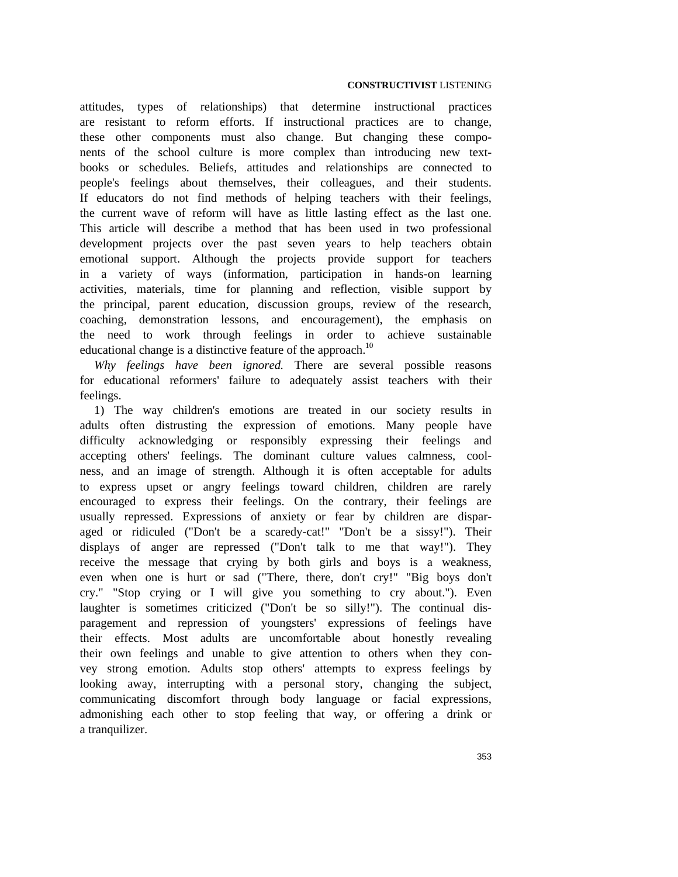attitudes, types of relationships) that determine instructional practices are resistant to reform efforts. If instructional practices are to change, these other components must also change. But changing these components of the school culture is more complex than introducing new textbooks or schedules. Beliefs, attitudes and relationships are connected to people's feelings about themselves, their colleagues, and their students. If educators do not find methods of helping teachers with their feelings, the current wave of reform will have as little lasting effect as the last one. This article will describe a method that has been used in two professional development projects over the past seven years to help teachers obtain emotional support. Although the projects provide support for teachers in a variety of ways (information, participation in hands-on learning activities, materials, time for planning and reflection, visible support by the principal, parent education, discussion groups, review of the research, coaching, demonstration lessons, and encouragement), the emphasis on the need to work through feelings in order to achieve sustainable educational change is a distinctive feature of the approach.<sup>10</sup>

*Why feelings have been ignored.* There are several possible reasons for educational reformers' failure to adequately assist teachers with their feelings.

1) The way children's emotions are treated in our society results in adults often distrusting the expression of emotions. Many people have difficulty acknowledging or responsibly expressing their feelings and accepting others' feelings. The dominant culture values calmness, coolness, and an image of strength. Although it is often acceptable for adults to express upset or angry feelings toward children, children are rarely encouraged to express their feelings. On the contrary, their feelings are usually repressed. Expressions of anxiety or fear by children are disparaged or ridiculed ("Don't be a scaredy-cat!" "Don't be a sissy!"). Their displays of anger are repressed ("Don't talk to me that way!"). They receive the message that crying by both girls and boys is a weakness, even when one is hurt or sad ("There, there, don't cry!" "Big boys don't cry." "Stop crying or I will give you something to cry about."). Even laughter is sometimes criticized ("Don't be so silly!"). The continual disparagement and repression of youngsters' expressions of feelings have their effects. Most adults are uncomfortable about honestly revealing their own feelings and unable to give attention to others when they convey strong emotion. Adults stop others' attempts to express feelings by looking away, interrupting with a personal story, changing the subject, communicating discomfort through body language or facial expressions, admonishing each other to stop feeling that way, or offering a drink or a tranquilizer.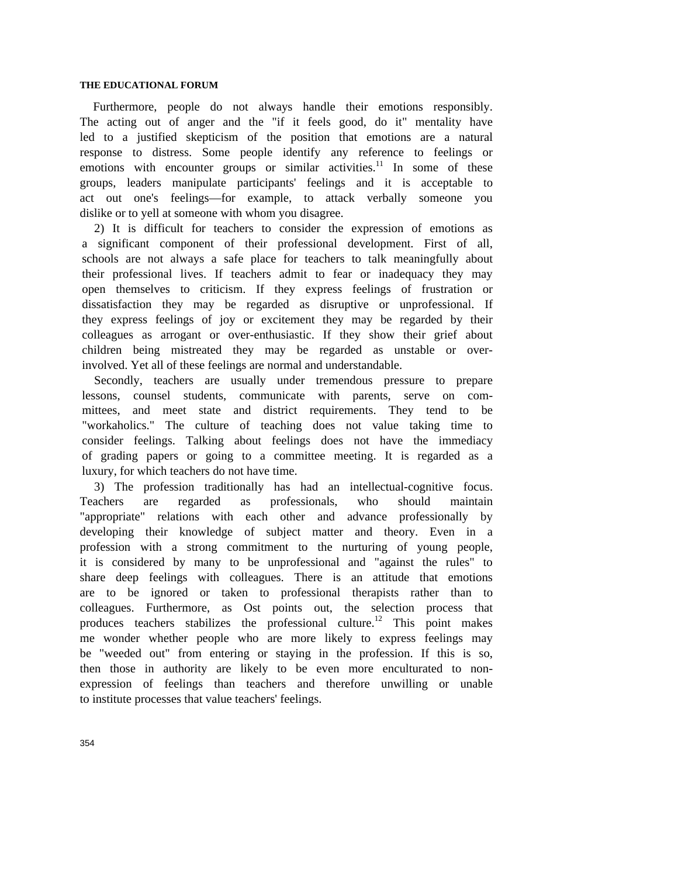Furthermore, people do not always handle their emotions responsibly. The acting out of anger and the "if it feels good, do it" mentality have led to a justified skepticism of the position that emotions are a natural response to distress. Some people identify any reference to feelings or emotions with encounter groups or similar activities.<sup>11</sup> In some of these groups, leaders manipulate participants' feelings and it is acceptable to act out one's feelings—for example, to attack verbally someone you dislike or to yell at someone with whom you disagree.

2) It is difficult for teachers to consider the expression of emotions as a significant component of their professional development. First of all, schools are not always a safe place for teachers to talk meaningfully about their professional lives. If teachers admit to fear or inadequacy they may open themselves to criticism. If they express feelings of frustration or dissatisfaction they may be regarded as disruptive or unprofessional. If they express feelings of joy or excitement they may be regarded by their colleagues as arrogant or over-enthusiastic. If they show their grief about children being mistreated they may be regarded as unstable or overinvolved. Yet all of these feelings are normal and understandable.

Secondly, teachers are usually under tremendous pressure to prepare lessons, counsel students, communicate with parents, serve on committees, and meet state and district requirements. They tend to be "workaholics." The culture of teaching does not value taking time to consider feelings. Talking about feelings does not have the immediacy of grading papers or going to a committee meeting. It is regarded as a luxury, for which teachers do not have time.

3) The profession traditionally has had an intellectual-cognitive focus. Teachers are regarded as professionals, who should maintain "appropriate" relations with each other and advance professionally by developing their knowledge of subject matter and theory. Even in a profession with a strong commitment to the nurturing of young people, it is considered by many to be unprofessional and "against the rules" to share deep feelings with colleagues. There is an attitude that emotions are to be ignored or taken to professional therapists rather than to colleagues. Furthermore, as Ost points out, the selection process that produces teachers stabilizes the professional culture.<sup>12</sup> This point makes me wonder whether people who are more likely to express feelings may be "weeded out" from entering or staying in the profession. If this is so, then those in authority are likely to be even more enculturated to nonexpression of feelings than teachers and therefore unwilling or unable to institute processes that value teachers' feelings.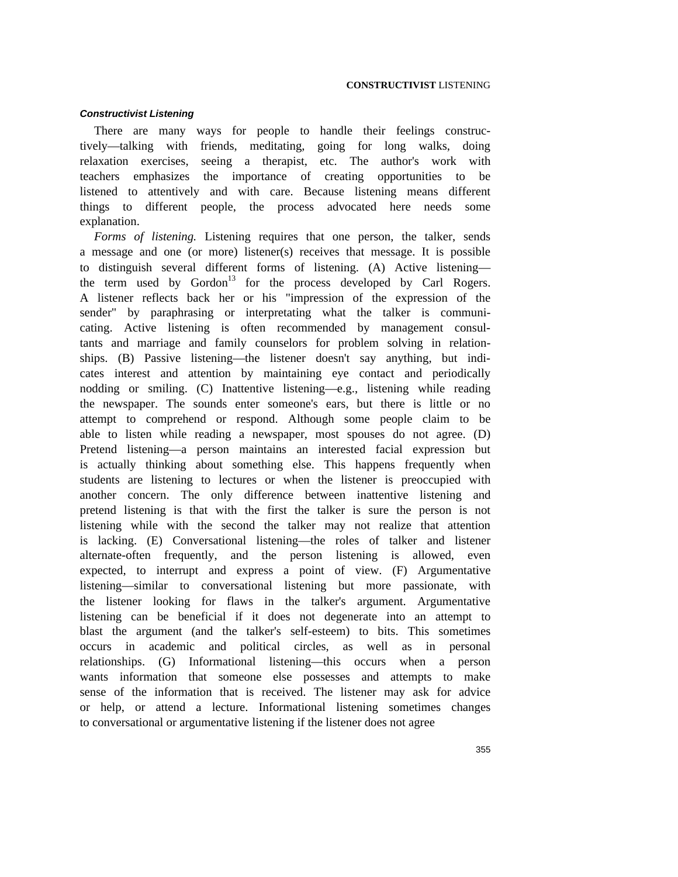#### *Constructivist Listening*

There are many ways for people to handle their feelings constructively—talking with friends, meditating, going for long walks, doing relaxation exercises, seeing a therapist, etc. The author's work with teachers emphasizes the importance of creating opportunities to be listened to attentively and with care. Because listening means different things to different people, the process advocated here needs some explanation.

*Forms of listening.* Listening requires that one person, the talker, sends a message and one (or more) listener(s) receives that message. It is possible to distinguish several different forms of listening. (A) Active listening the term used by  $Gordon^{13}$  for the process developed by Carl Rogers. A listener reflects back her or his "impression of the expression of the sender" by paraphrasing or interpretating what the talker is communicating. Active listening is often recommended by management consultants and marriage and family counselors for problem solving in relationships. (B) Passive listening—the listener doesn't say anything, but indicates interest and attention by maintaining eye contact and periodically nodding or smiling. (C) Inattentive listening—e.g., listening while reading the newspaper. The sounds enter someone's ears, but there is little or no attempt to comprehend or respond. Although some people claim to be able to listen while reading a newspaper, most spouses do not agree. (D) Pretend listening—a person maintains an interested facial expression but is actually thinking about something else. This happens frequently when students are listening to lectures or when the listener is preoccupied with another concern. The only difference between inattentive listening and pretend listening is that with the first the talker is sure the person is not listening while with the second the talker may not realize that attention is lacking. (E) Conversational listening—the roles of talker and listener alternate-often frequently, and the person listening is allowed, even expected, to interrupt and express a point of view. (F) Argumentative listening—similar to conversational listening but more passionate, with the listener looking for flaws in the talker's argument. Argumentative listening can be beneficial if it does not degenerate into an attempt to blast the argument (and the talker's self-esteem) to bits. This sometimes occurs in academic and political circles, as well as in personal relationships. (G) Informational listening—this occurs when a person wants information that someone else possesses and attempts to make sense of the information that is received. The listener may ask for advice or help, or attend a lecture. Informational listening sometimes changes to conversational or argumentative listening if the listener does not agree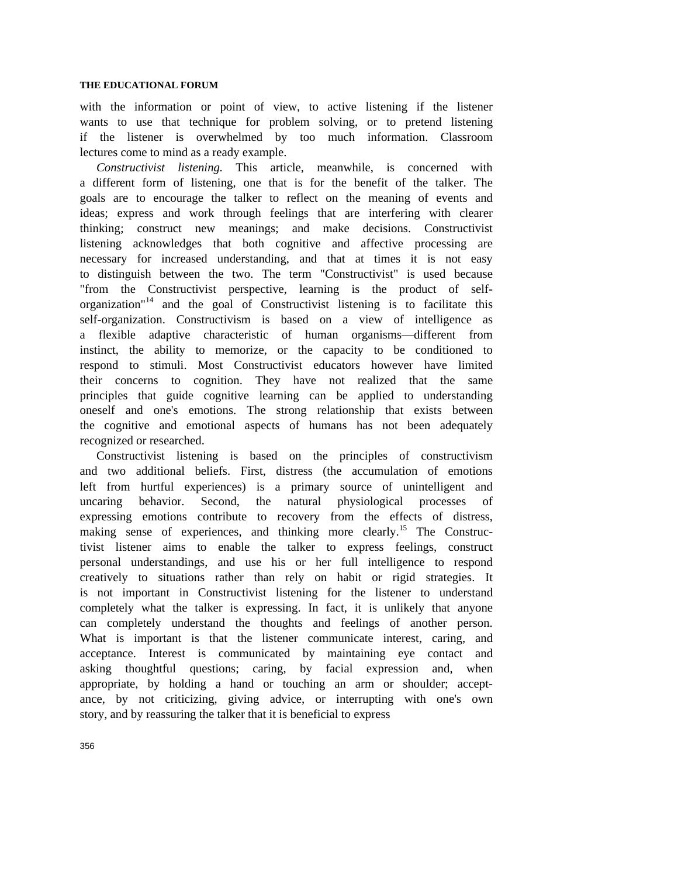with the information or point of view, to active listening if the listener wants to use that technique for problem solving, or to pretend listening if the listener is overwhelmed by too much information. Classroom lectures come to mind as a ready example.

*Constructivist listening.* This article, meanwhile, is concerned with a different form of listening, one that is for the benefit of the talker. The goals are to encourage the talker to reflect on the meaning of events and ideas; express and work through feelings that are interfering with clearer thinking; construct new meanings; and make decisions. Constructivist listening acknowledges that both cognitive and affective processing are necessary for increased understanding, and that at times it is not easy to distinguish between the two. The term "Constructivist" is used because "from the Constructivist perspective, learning is the product of selforganization<sup> $n<sup>14</sup>$ </sup> and the goal of Constructivist listening is to facilitate this self-organization. Constructivism is based on a view of intelligence as a flexible adaptive characteristic of human organisms—different from instinct, the ability to memorize, or the capacity to be conditioned to respond to stimuli. Most Constructivist educators however have limited their concerns to cognition. They have not realized that the same principles that guide cognitive learning can be applied to understanding oneself and one's emotions. The strong relationship that exists between the cognitive and emotional aspects of humans has not been adequately recognized or researched.

Constructivist listening is based on the principles of constructivism and two additional beliefs. First, distress (the accumulation of emotions left from hurtful experiences) is a primary source of unintelligent and uncaring behavior. Second, the natural physiological processes of expressing emotions contribute to recovery from the effects of distress, making sense of experiences, and thinking more clearly.<sup>15</sup> The Constructivist listener aims to enable the talker to express feelings, construct personal understandings, and use his or her full intelligence to respond creatively to situations rather than rely on habit or rigid strategies. It is not important in Constructivist listening for the listener to understand completely what the talker is expressing. In fact, it is unlikely that anyone can completely understand the thoughts and feelings of another person. What is important is that the listener communicate interest, caring, and acceptance. Interest is communicated by maintaining eye contact and asking thoughtful questions; caring, by facial expression and, when appropriate, by holding a hand or touching an arm or shoulder; acceptance, by not criticizing, giving advice, or interrupting with one's own story, and by reassuring the talker that it is beneficial to express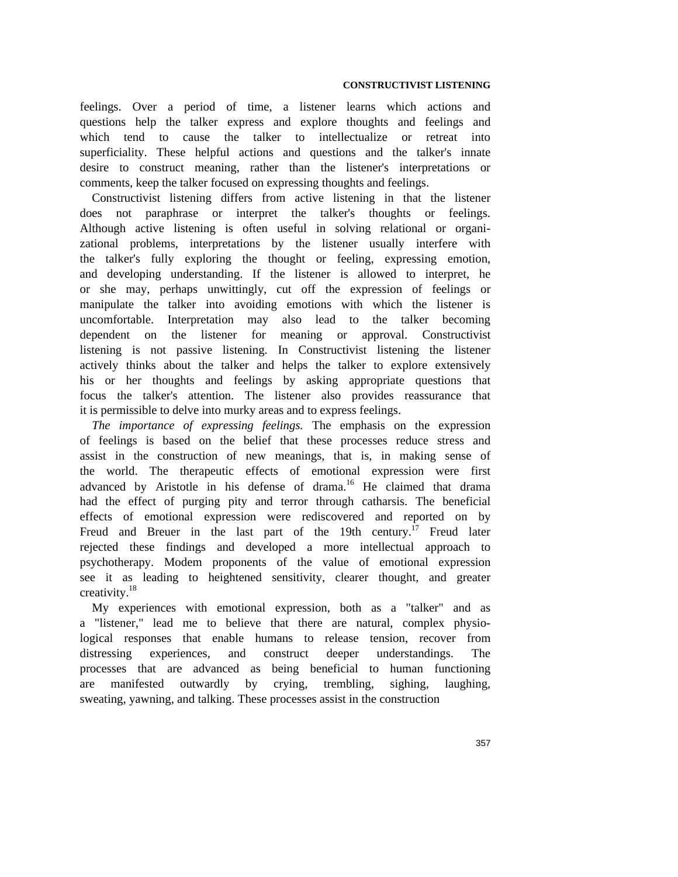feelings. Over a period of time, a listener learns which actions and questions help the talker express and explore thoughts and feelings and which tend to cause the talker to intellectualize or retreat into superficiality. These helpful actions and questions and the talker's innate desire to construct meaning, rather than the listener's interpretations or comments, keep the talker focused on expressing thoughts and feelings.

Constructivist listening differs from active listening in that the listener does not paraphrase or interpret the talker's thoughts or feelings. Although active listening is often useful in solving relational or organizational problems, interpretations by the listener usually interfere with the talker's fully exploring the thought or feeling, expressing emotion, and developing understanding. If the listener is allowed to interpret, he or she may, perhaps unwittingly, cut off the expression of feelings or manipulate the talker into avoiding emotions with which the listener is uncomfortable. Interpretation may also lead to the talker becoming dependent on the listener for meaning or approval. Constructivist listening is not passive listening. In Constructivist listening the listener actively thinks about the talker and helps the talker to explore extensively his or her thoughts and feelings by asking appropriate questions that focus the talker's attention. The listener also provides reassurance that it is permissible to delve into murky areas and to express feelings.

*The importance of expressing feelings.* The emphasis on the expression of feelings is based on the belief that these processes reduce stress and assist in the construction of new meanings, that is, in making sense of the world. The therapeutic effects of emotional expression were first advanced by Aristotle in his defense of drama.<sup>16</sup> He claimed that drama had the effect of purging pity and terror through catharsis. The beneficial effects of emotional expression were rediscovered and reported on by Freud and Breuer in the last part of the 19th century.<sup>17</sup> Freud later rejected these findings and developed a more intellectual approach to psychotherapy. Modem proponents of the value of emotional expression see it as leading to heightened sensitivity, clearer thought, and greater creativity.<sup>18</sup>

My experiences with emotional expression, both as a "talker" and as a "listener," lead me to believe that there are natural, complex physiological responses that enable humans to release tension, recover from distressing experiences, and construct deeper understandings. The processes that are advanced as being beneficial to human functioning are manifested outwardly by crying, trembling, sighing, laughing, sweating, yawning, and talking. These processes assist in the construction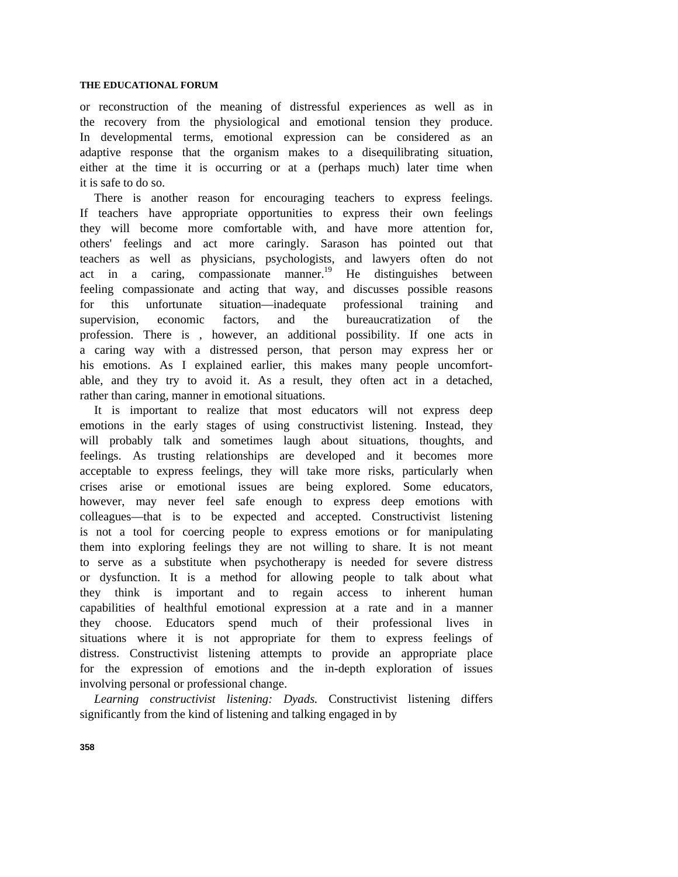or reconstruction of the meaning of distressful experiences as well as in the recovery from the physiological and emotional tension they produce. In developmental terms, emotional expression can be considered as an adaptive response that the organism makes to a disequilibrating situation, either at the time it is occurring or at a (perhaps much) later time when it is safe to do so.

There is another reason for encouraging teachers to express feelings. If teachers have appropriate opportunities to express their own feelings they will become more comfortable with, and have more attention for, others' feelings and act more caringly. Sarason has pointed out that teachers as well as physicians, psychologists, and lawyers often do not act in a caring, compassionate manner.<sup>19</sup> He distinguishes between feeling compassionate and acting that way, and discusses possible reasons for this unfortunate situation—inadequate professional training and supervision, economic factors, and the bureaucratization of the profession. There is , however, an additional possibility. If one acts in a caring way with a distressed person, that person may express her or his emotions. As I explained earlier, this makes many people uncomfortable, and they try to avoid it. As a result, they often act in a detached, rather than caring, manner in emotional situations.

It is important to realize that most educators will not express deep emotions in the early stages of using constructivist listening. Instead, they will probably talk and sometimes laugh about situations, thoughts, and feelings. As trusting relationships are developed and it becomes more acceptable to express feelings, they will take more risks, particularly when crises arise or emotional issues are being explored. Some educators, however, may never feel safe enough to express deep emotions with colleagues—that is to be expected and accepted. Constructivist listening is not a tool for coercing people to express emotions or for manipulating them into exploring feelings they are not willing to share. It is not meant to serve as a substitute when psychotherapy is needed for severe distress or dysfunction. It is a method for allowing people to talk about what they think is important and to regain access to inherent human capabilities of healthful emotional expression at a rate and in a manner they choose. Educators spend much of their professional lives in situations where it is not appropriate for them to express feelings of distress. Constructivist listening attempts to provide an appropriate place for the expression of emotions and the in-depth exploration of issues involving personal or professional change.

*Learning constructivist listening: Dyads.* Constructivist listening differs significantly from the kind of listening and talking engaged in by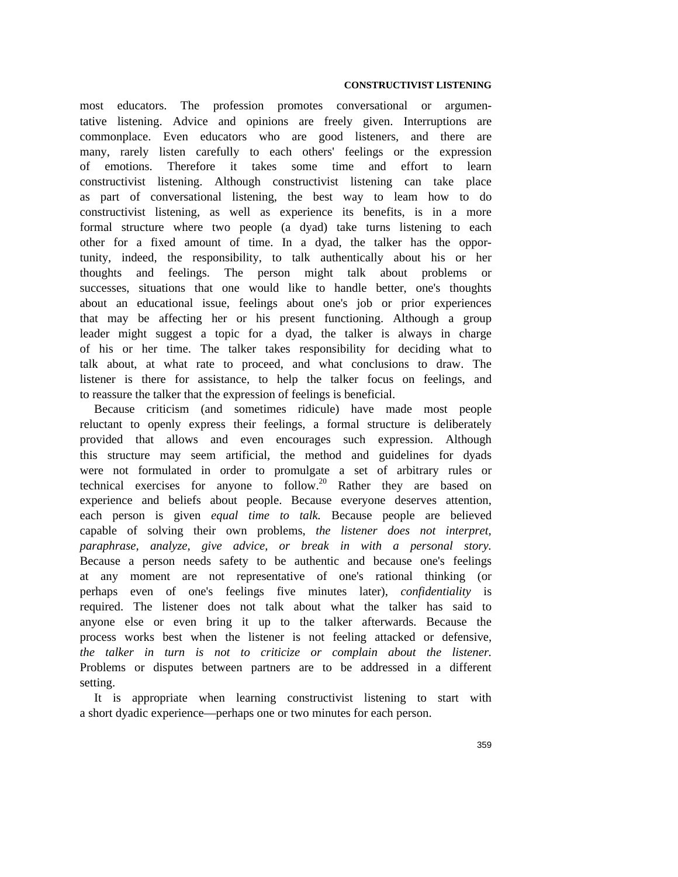most educators. The profession promotes conversational or argumentative listening. Advice and opinions are freely given. Interruptions are commonplace. Even educators who are good listeners, and there are many, rarely listen carefully to each others' feelings or the expression of emotions. Therefore it takes some time and effort to learn constructivist listening. Although constructivist listening can take place as part of conversational listening, the best way to leam how to do constructivist listening, as well as experience its benefits, is in a more formal structure where two people (a dyad) take turns listening to each other for a fixed amount of time. In a dyad, the talker has the opportunity, indeed, the responsibility, to talk authentically about his or her thoughts and feelings. The person might talk about problems or successes, situations that one would like to handle better, one's thoughts about an educational issue, feelings about one's job or prior experiences that may be affecting her or his present functioning. Although a group leader might suggest a topic for a dyad, the talker is always in charge of his or her time. The talker takes responsibility for deciding what to talk about, at what rate to proceed, and what conclusions to draw. The listener is there for assistance, to help the talker focus on feelings, and to reassure the talker that the expression of feelings is beneficial.

Because criticism (and sometimes ridicule) have made most people reluctant to openly express their feelings, a formal structure is deliberately provided that allows and even encourages such expression. Although this structure may seem artificial, the method and guidelines for dyads were not formulated in order to promulgate a set of arbitrary rules or technical exercises for anyone to follow.<sup>20</sup> Rather they are based on experience and beliefs about people. Because everyone deserves attention, each person is given *equal time to talk.* Because people are believed capable of solving their own problems, *the listener does not interpret, paraphrase, analyze, give advice, or break in with a personal story.* Because a person needs safety to be authentic and because one's feelings at any moment are not representative of one's rational thinking (or perhaps even of one's feelings five minutes later), *confidentiality* is required. The listener does not talk about what the talker has said to anyone else or even bring it up to the talker afterwards. Because the process works best when the listener is not feeling attacked or defensive, *the talker in turn is not to criticize or complain about the listener.* Problems or disputes between partners are to be addressed in a different setting.

It is appropriate when learning constructivist listening to start with a short dyadic experience—perhaps one or two minutes for each person.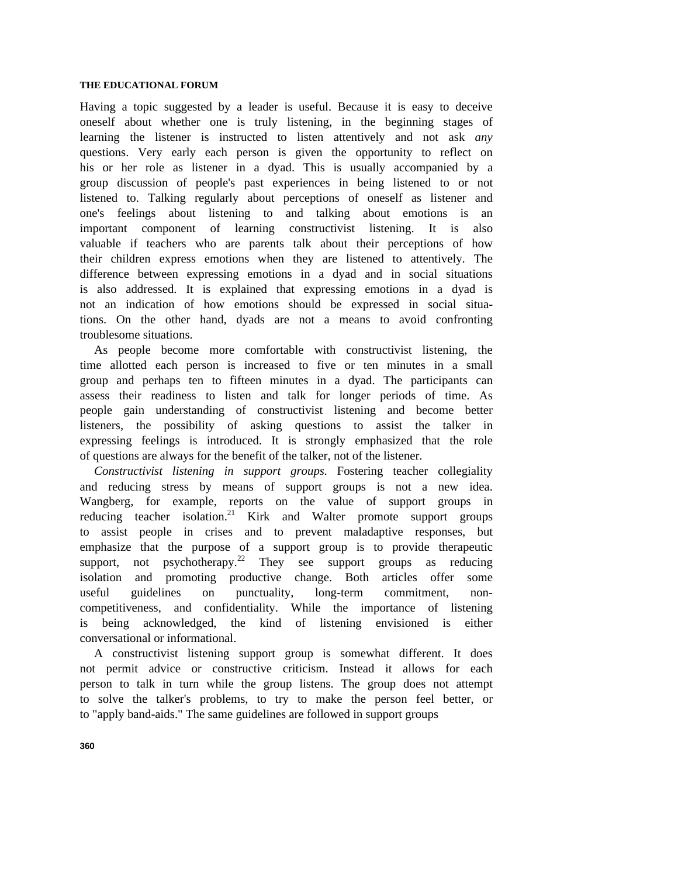Having a topic suggested by a leader is useful. Because it is easy to deceive oneself about whether one is truly listening, in the beginning stages of learning the listener is instructed to listen attentively and not ask *any* questions. Very early each person is given the opportunity to reflect on his or her role as listener in a dyad. This is usually accompanied by a group discussion of people's past experiences in being listened to or not listened to. Talking regularly about perceptions of oneself as listener and one's feelings about listening to and talking about emotions is an important component of learning constructivist listening. It is also valuable if teachers who are parents talk about their perceptions of how their children express emotions when they are listened to attentively. The difference between expressing emotions in a dyad and in social situations is also addressed. It is explained that expressing emotions in a dyad is not an indication of how emotions should be expressed in social situations. On the other hand, dyads are not a means to avoid confronting troublesome situations.

As people become more comfortable with constructivist listening, the time allotted each person is increased to five or ten minutes in a small group and perhaps ten to fifteen minutes in a dyad. The participants can assess their readiness to listen and talk for longer periods of time. As people gain understanding of constructivist listening and become better listeners, the possibility of asking questions to assist the talker in expressing feelings is introduced. It is strongly emphasized that the role of questions are always for the benefit of the talker, not of the listener.

*Constructivist listening in support groups.* Fostering teacher collegiality and reducing stress by means of support groups is not a new idea. Wangberg, for example, reports on the value of support groups in reducing teacher isolation.<sup>21</sup> Kirk and Walter promote support groups to assist people in crises and to prevent maladaptive responses, but emphasize that the purpose of a support group is to provide therapeutic support, not psychotherapy.<sup>22</sup> They see support groups as reducing isolation and promoting productive change. Both articles offer some useful guidelines on punctuality, long-term commitment, noncompetitiveness, and confidentiality. While the importance of listening is being acknowledged, the kind of listening envisioned is either conversational or informational.

A constructivist listening support group is somewhat different. It does not permit advice or constructive criticism. Instead it allows for each person to talk in turn while the group listens. The group does not attempt to solve the talker's problems, to try to make the person feel better, or to "apply band-aids." The same guidelines are followed in support groups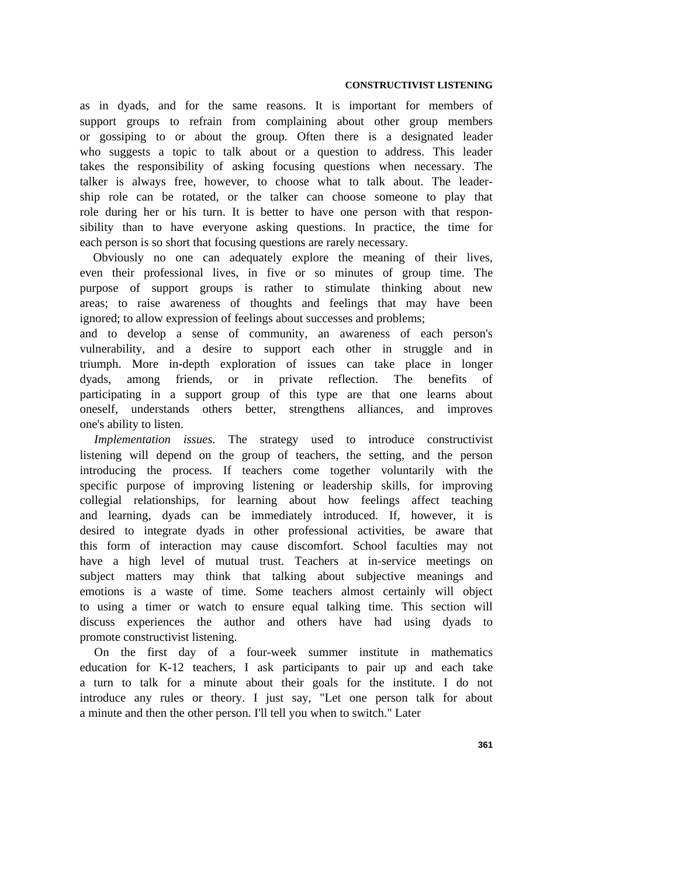as in dyads, and for the same reasons. It is important for members of support groups to refrain from complaining about other group members or gossiping to or about the group. Often there is a designated leader who suggests a topic to talk about or a question to address. This leader takes the responsibility of asking focusing questions when necessary. The talker is always free, however, to choose what to talk about. The leadership role can be rotated, or the talker can choose someone to play that role during her or his turn. It is better to have one person with that responsibility than to have everyone asking questions. In practice, the time for each person is so short that focusing questions are rarely necessary.

Obviously no one can adequately explore the meaning of their lives, even their professional lives, in five or so minutes of group time. The purpose of support groups is rather to stimulate thinking about new areas; to raise awareness of thoughts and feelings that may have been ignored; to allow expression of feelings about successes and problems;

and to develop a sense of community, an awareness of each person's vulnerability, and a desire to support each other in struggle and in triumph. More in-depth exploration of issues can take place in longer dyads, among friends, or in private reflection. The benefits of participating in a support group of this type are that one learns about oneself, understands others better, strengthens alliances, and improves one's ability to listen.

*Implementation issues.* The strategy used to introduce constructivist listening will depend on the group of teachers, the setting, and the person introducing the process. If teachers come together voluntarily with the specific purpose of improving listening or leadership skills, for improving collegial relationships, for learning about how feelings affect teaching and learning, dyads can be immediately introduced. If, however, it is desired to integrate dyads in other professional activities, be aware that this form of interaction may cause discomfort. School faculties may not have a high level of mutual trust. Teachers at in-service meetings on subject matters may think that talking about subjective meanings and emotions is a waste of time. Some teachers almost certainly will object to using a timer or watch to ensure equal talking time. This section will discuss experiences the author and others have had using dyads to promote constructivist listening.

On the first day of a four-week summer institute in mathematics education for K-12 teachers, I ask participants to pair up and each take a turn to talk for a minute about their goals for the institute. I do not introduce any rules or theory. I just say, "Let one person talk for about a minute and then the other person. I'll tell you when to switch." Later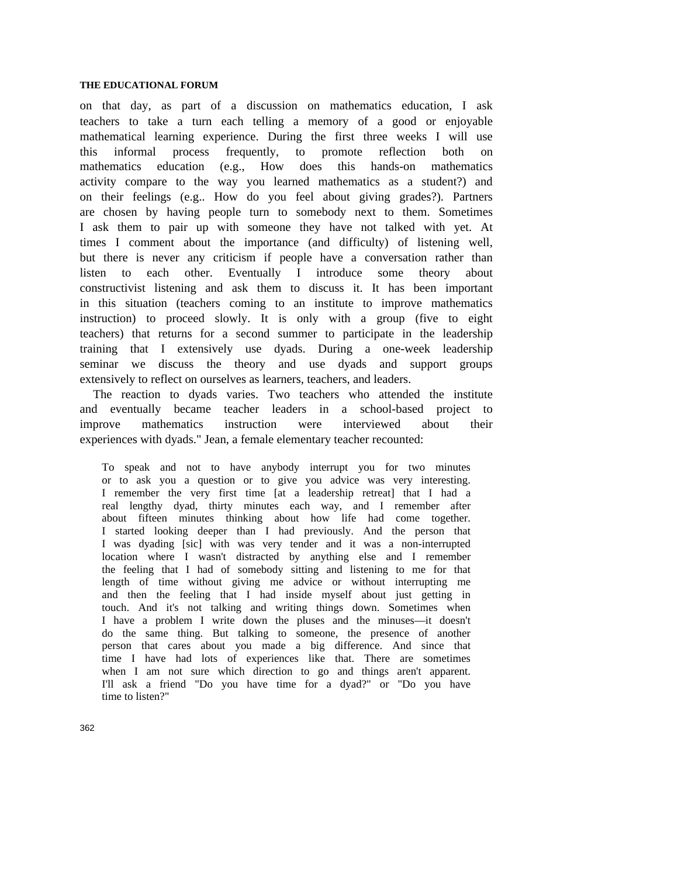on that day, as part of a discussion on mathematics education, I ask teachers to take a turn each telling a memory of a good or enjoyable mathematical learning experience. During the first three weeks I will use this informal process frequently, to promote reflection both on mathematics education (e.g., How does this hands-on mathematics activity compare to the way you learned mathematics as a student?) and on their feelings (e.g.. How do you feel about giving grades?). Partners are chosen by having people turn to somebody next to them. Sometimes I ask them to pair up with someone they have not talked with yet. At times I comment about the importance (and difficulty) of listening well, but there is never any criticism if people have a conversation rather than listen to each other. Eventually I introduce some theory about constructivist listening and ask them to discuss it. It has been important in this situation (teachers coming to an institute to improve mathematics instruction) to proceed slowly. It is only with a group (five to eight teachers) that returns for a second summer to participate in the leadership training that I extensively use dyads. During a one-week leadership seminar we discuss the theory and use dyads and support groups extensively to reflect on ourselves as learners, teachers, and leaders.

The reaction to dyads varies. Two teachers who attended the institute and eventually became teacher leaders in a school-based project to improve mathematics instruction were interviewed about their experiences with dyads." Jean, a female elementary teacher recounted:

To speak and not to have anybody interrupt you for two minutes or to ask you a question or to give you advice was very interesting. I remember the very first time [at a leadership retreat] that I had a real lengthy dyad, thirty minutes each way, and I remember after about fifteen minutes thinking about how life had come together. I started looking deeper than I had previously. And the person that I was dyading [sic] with was very tender and it was a non-interrupted location where I wasn't distracted by anything else and I remember the feeling that I had of somebody sitting and listening to me for that length of time without giving me advice or without interrupting me and then the feeling that I had inside myself about just getting in touch. And it's not talking and writing things down. Sometimes when I have a problem I write down the pluses and the minuses—it doesn't do the same thing. But talking to someone, the presence of another person that cares about you made a big difference. And since that time I have had lots of experiences like that. There are sometimes when I am not sure which direction to go and things aren't apparent. I'll ask a friend "Do you have time for a dyad?" or "Do you have time to listen?"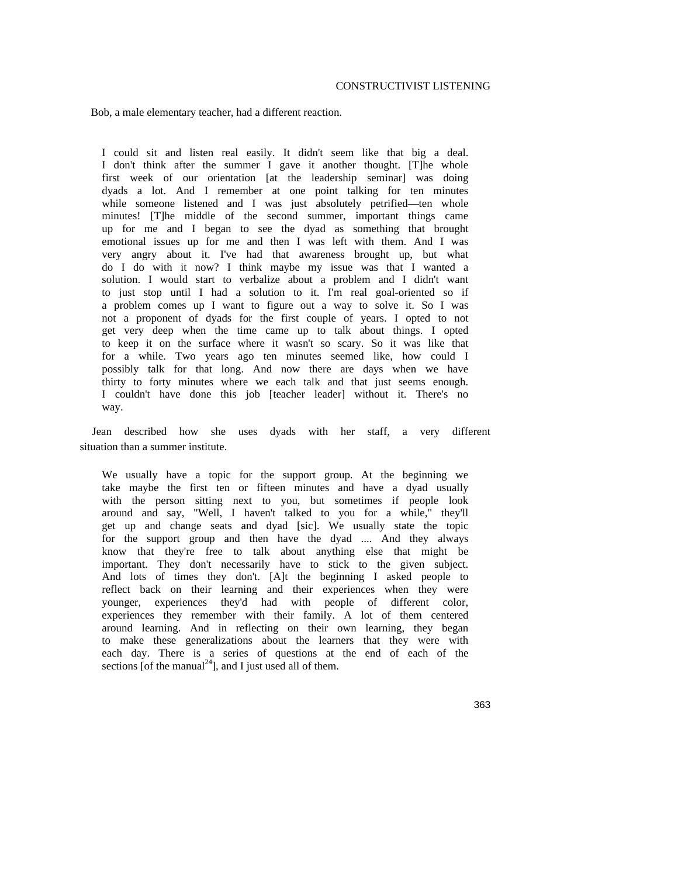Bob, a male elementary teacher, had a different reaction.

I could sit and listen real easily. It didn't seem like that big a deal. I don't think after the summer I gave it another thought. [T]he whole first week of our orientation [at the leadership seminar] was doing dyads a lot. And I remember at one point talking for ten minutes while someone listened and I was just absolutely petrified—ten whole minutes! [T]he middle of the second summer, important things came up for me and I began to see the dyad as something that brought emotional issues up for me and then I was left with them. And I was very angry about it. I've had that awareness brought up, but what do I do with it now? I think maybe my issue was that I wanted a solution. I would start to verbalize about a problem and I didn't want to just stop until I had a solution to it. I'm real goal-oriented so if a problem comes up I want to figure out a way to solve it. So I was not a proponent of dyads for the first couple of years. I opted to not get very deep when the time came up to talk about things. I opted to keep it on the surface where it wasn't so scary. So it was like that for a while. Two years ago ten minutes seemed like, how could I possibly talk for that long. And now there are days when we have thirty to forty minutes where we each talk and that just seems enough. I couldn't have done this job [teacher leader] without it. There's no way.

Jean described how she uses dyads with her staff, a very different situation than a summer institute.

We usually have a topic for the support group. At the beginning we take maybe the first ten or fifteen minutes and have a dyad usually with the person sitting next to you, but sometimes if people look around and say, "Well, I haven't talked to you for a while," they'll get up and change seats and dyad [sic]. We usually state the topic for the support group and then have the dyad .... And they always know that they're free to talk about anything else that might be important. They don't necessarily have to stick to the given subject. And lots of times they don't. [A]t the beginning I asked people to reflect back on their learning and their experiences when they were younger, experiences they'd had with people of different color, experiences they remember with their family. A lot of them centered around learning. And in reflecting on their own learning, they began to make these generalizations about the learners that they were with each day. There is a series of questions at the end of each of the sections  $[$ of the manual $^{24}$ ], and I just used all of them.

363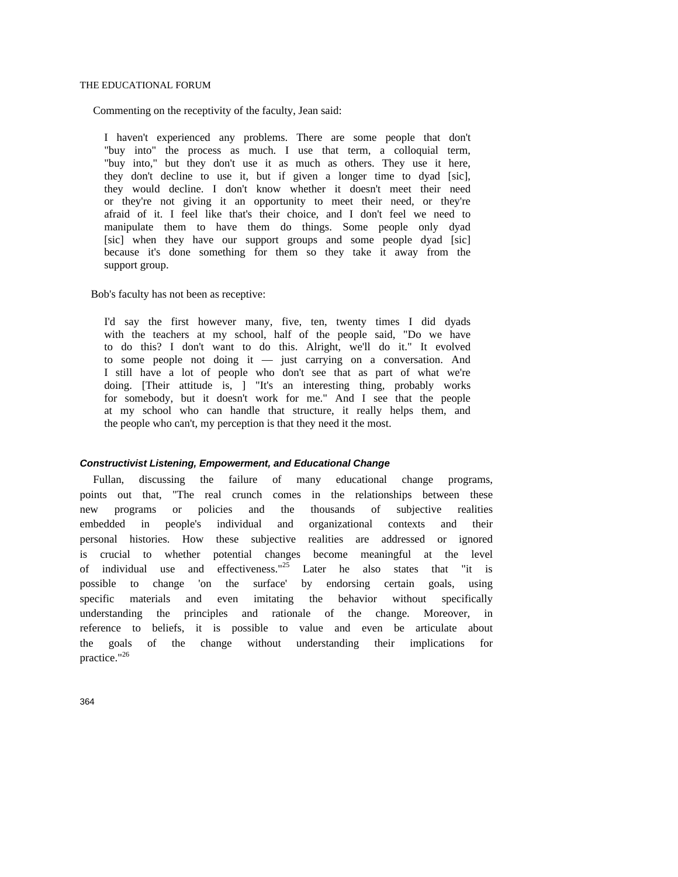Commenting on the receptivity of the faculty, Jean said:

I haven't experienced any problems. There are some people that don't "buy into" the process as much. I use that term, a colloquial term, "buy into," but they don't use it as much as others. They use it here, they don't decline to use it, but if given a longer time to dyad [sic], they would decline. I don't know whether it doesn't meet their need or they're not giving it an opportunity to meet their need, or they're afraid of it. I feel like that's their choice, and I don't feel we need to manipulate them to have them do things. Some people only dyad [sic] when they have our support groups and some people dyad [sic] because it's done something for them so they take it away from the support group.

#### Bob's faculty has not been as receptive:

I'd say the first however many, five, ten, twenty times I did dyads with the teachers at my school, half of the people said, "Do we have to do this? I don't want to do this. Alright, we'll do it." It evolved to some people not doing it — just carrying on a conversation. And I still have a lot of people who don't see that as part of what we're doing. [Their attitude is, ] "It's an interesting thing, probably works for somebody, but it doesn't work for me." And I see that the people at my school who can handle that structure, it really helps them, and the people who can't, my perception is that they need it the most.

#### *Constructivist Listening, Empowerment, and Educational Change*

Fullan, discussing the failure of many educational change programs, points out that, "The real crunch comes in the relationships between these new programs or policies and the thousands of subjective realities embedded in people's individual and organizational contexts and their personal histories. How these subjective realities are addressed or ignored is crucial to whether potential changes become meaningful at the level of individual use and effectiveness."<sup>25</sup> Later he also states that "it is possible to change 'on the surface' by endorsing certain goals, using specific materials and even imitating the behavior without specifically understanding the principles and rationale of the change. Moreover, in reference to beliefs, it is possible to value and even be articulate about the goals of the change without understanding their implications for practice."<sup>26</sup>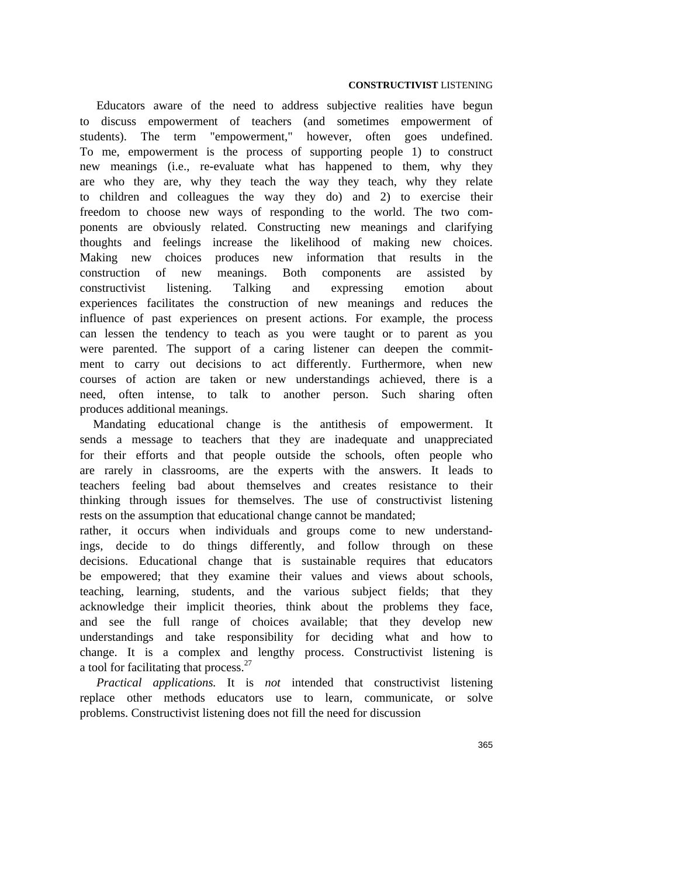Educators aware of the need to address subjective realities have begun to discuss empowerment of teachers (and sometimes empowerment of students). The term "empowerment," however, often goes undefined. To me, empowerment is the process of supporting people 1) to construct new meanings (i.e., re-evaluate what has happened to them, why they are who they are, why they teach the way they teach, why they relate to children and colleagues the way they do) and 2) to exercise their freedom to choose new ways of responding to the world. The two components are obviously related. Constructing new meanings and clarifying thoughts and feelings increase the likelihood of making new choices. Making new choices produces new information that results in the construction of new meanings. Both components are assisted by constructivist listening. Talking and expressing emotion about experiences facilitates the construction of new meanings and reduces the influence of past experiences on present actions. For example, the process can lessen the tendency to teach as you were taught or to parent as you were parented. The support of a caring listener can deepen the commitment to carry out decisions to act differently. Furthermore, when new courses of action are taken or new understandings achieved, there is a need, often intense, to talk to another person. Such sharing often produces additional meanings.

Mandating educational change is the antithesis of empowerment. It sends a message to teachers that they are inadequate and unappreciated for their efforts and that people outside the schools, often people who are rarely in classrooms, are the experts with the answers. It leads to teachers feeling bad about themselves and creates resistance to their thinking through issues for themselves. The use of constructivist listening rests on the assumption that educational change cannot be mandated;

rather, it occurs when individuals and groups come to new understandings, decide to do things differently, and follow through on these decisions. Educational change that is sustainable requires that educators be empowered; that they examine their values and views about schools, teaching, learning, students, and the various subject fields; that they acknowledge their implicit theories, think about the problems they face, and see the full range of choices available; that they develop new understandings and take responsibility for deciding what and how to change. It is a complex and lengthy process. Constructivist listening is a tool for facilitating that process. $27$ 

*Practical applications.* It is *not* intended that constructivist listening replace other methods educators use to learn, communicate, or solve problems. Constructivist listening does not fill the need for discussion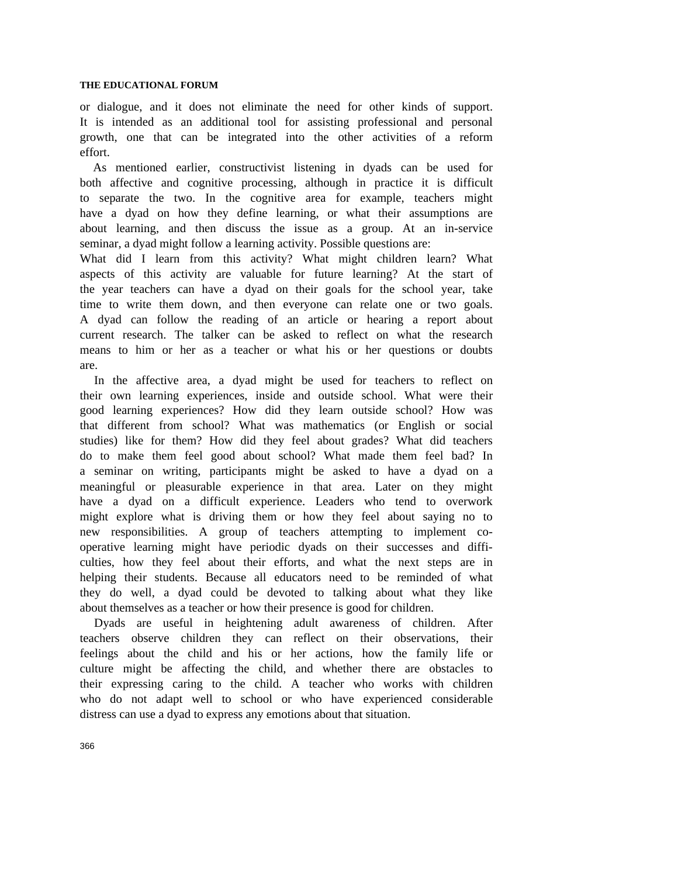or dialogue, and it does not eliminate the need for other kinds of support. It is intended as an additional tool for assisting professional and personal growth, one that can be integrated into the other activities of a reform effort.

As mentioned earlier, constructivist listening in dyads can be used for both affective and cognitive processing, although in practice it is difficult to separate the two. In the cognitive area for example, teachers might have a dyad on how they define learning, or what their assumptions are about learning, and then discuss the issue as a group. At an in-service seminar, a dyad might follow a learning activity. Possible questions are:

What did I learn from this activity? What might children learn? What aspects of this activity are valuable for future learning? At the start of the year teachers can have a dyad on their goals for the school year, take time to write them down, and then everyone can relate one or two goals. A dyad can follow the reading of an article or hearing a report about current research. The talker can be asked to reflect on what the research means to him or her as a teacher or what his or her questions or doubts are.

In the affective area, a dyad might be used for teachers to reflect on their own learning experiences, inside and outside school. What were their good learning experiences? How did they learn outside school? How was that different from school? What was mathematics (or English or social studies) like for them? How did they feel about grades? What did teachers do to make them feel good about school? What made them feel bad? In a seminar on writing, participants might be asked to have a dyad on a meaningful or pleasurable experience in that area. Later on they might have a dyad on a difficult experience. Leaders who tend to overwork might explore what is driving them or how they feel about saying no to new responsibilities. A group of teachers attempting to implement cooperative learning might have periodic dyads on their successes and difficulties, how they feel about their efforts, and what the next steps are in helping their students. Because all educators need to be reminded of what they do well, a dyad could be devoted to talking about what they like about themselves as a teacher or how their presence is good for children.

Dyads are useful in heightening adult awareness of children. After teachers observe children they can reflect on their observations, their feelings about the child and his or her actions, how the family life or culture might be affecting the child, and whether there are obstacles to their expressing caring to the child. A teacher who works with children who do not adapt well to school or who have experienced considerable distress can use a dyad to express any emotions about that situation.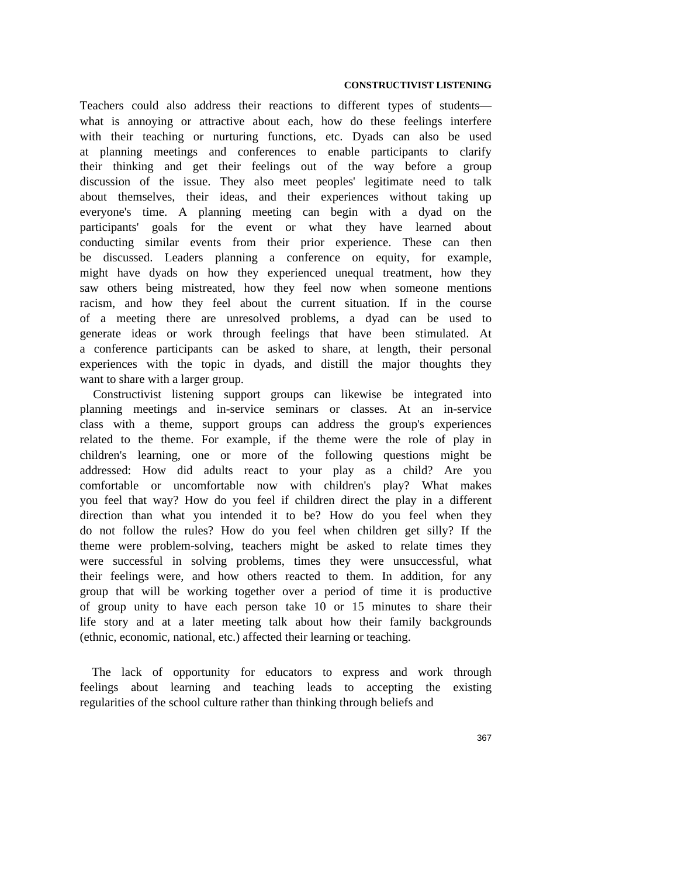Teachers could also address their reactions to different types of students what is annoying or attractive about each, how do these feelings interfere with their teaching or nurturing functions, etc. Dyads can also be used at planning meetings and conferences to enable participants to clarify their thinking and get their feelings out of the way before a group discussion of the issue. They also meet peoples' legitimate need to talk about themselves, their ideas, and their experiences without taking up everyone's time. A planning meeting can begin with a dyad on the participants' goals for the event or what they have learned about conducting similar events from their prior experience. These can then be discussed. Leaders planning a conference on equity, for example, might have dyads on how they experienced unequal treatment, how they saw others being mistreated, how they feel now when someone mentions racism, and how they feel about the current situation. If in the course of a meeting there are unresolved problems, a dyad can be used to generate ideas or work through feelings that have been stimulated. At a conference participants can be asked to share, at length, their personal experiences with the topic in dyads, and distill the major thoughts they want to share with a larger group.

Constructivist listening support groups can likewise be integrated into planning meetings and in-service seminars or classes. At an in-service class with a theme, support groups can address the group's experiences related to the theme. For example, if the theme were the role of play in children's learning, one or more of the following questions might be addressed: How did adults react to your play as a child? Are you comfortable or uncomfortable now with children's play? What makes you feel that way? How do you feel if children direct the play in a different direction than what you intended it to be? How do you feel when they do not follow the rules? How do you feel when children get silly? If the theme were problem-solving, teachers might be asked to relate times they were successful in solving problems, times they were unsuccessful, what their feelings were, and how others reacted to them. In addition, for any group that will be working together over a period of time it is productive of group unity to have each person take 10 or 15 minutes to share their life story and at a later meeting talk about how their family backgrounds (ethnic, economic, national, etc.) affected their learning or teaching.

The lack of opportunity for educators to express and work through feelings about learning and teaching leads to accepting the existing regularities of the school culture rather than thinking through beliefs and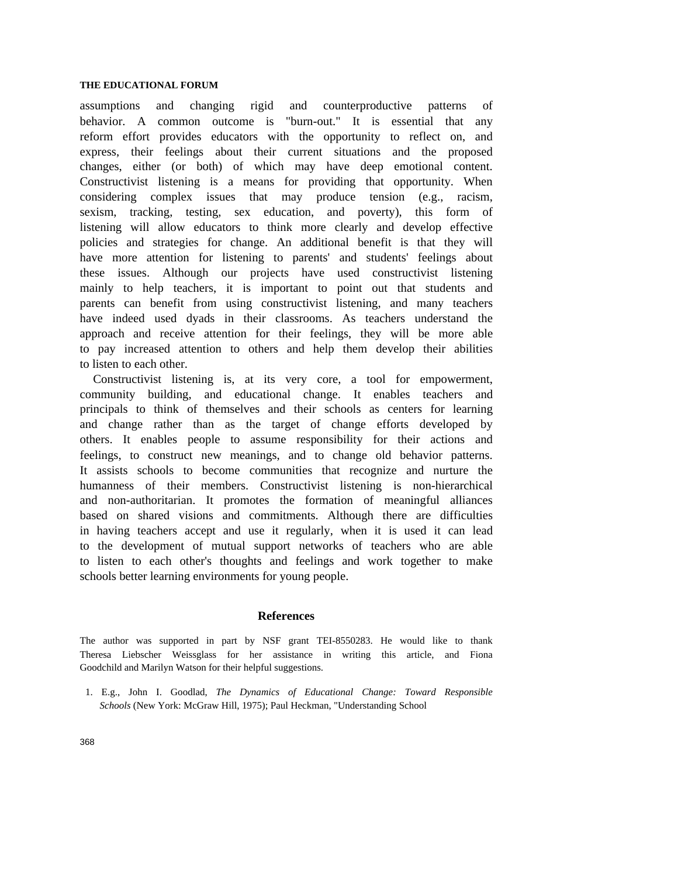assumptions and changing rigid and counterproductive patterns of behavior. A common outcome is "burn-out." It is essential that any reform effort provides educators with the opportunity to reflect on, and express, their feelings about their current situations and the proposed changes, either (or both) of which may have deep emotional content. Constructivist listening is a means for providing that opportunity. When considering complex issues that may produce tension (e.g., racism, sexism, tracking, testing, sex education, and poverty), this form of listening will allow educators to think more clearly and develop effective policies and strategies for change. An additional benefit is that they will have more attention for listening to parents' and students' feelings about these issues. Although our projects have used constructivist listening mainly to help teachers, it is important to point out that students and parents can benefit from using constructivist listening, and many teachers have indeed used dyads in their classrooms. As teachers understand the approach and receive attention for their feelings, they will be more able to pay increased attention to others and help them develop their abilities to listen to each other.

Constructivist listening is, at its very core, a tool for empowerment, community building, and educational change. It enables teachers and principals to think of themselves and their schools as centers for learning and change rather than as the target of change efforts developed by others. It enables people to assume responsibility for their actions and feelings, to construct new meanings, and to change old behavior patterns. It assists schools to become communities that recognize and nurture the humanness of their members. Constructivist listening is non-hierarchical and non-authoritarian. It promotes the formation of meaningful alliances based on shared visions and commitments. Although there are difficulties in having teachers accept and use it regularly, when it is used it can lead to the development of mutual support networks of teachers who are able to listen to each other's thoughts and feelings and work together to make schools better learning environments for young people.

#### **References**

The author was supported in part by NSF grant TEI-8550283. He would like to thank Theresa Liebscher Weissglass for her assistance in writing this article, and Fiona Goodchild and Marilyn Watson for their helpful suggestions.

1. E.g., John I. Goodlad, *The Dynamics of Educational Change: Toward Responsible Schools* (New York: McGraw Hill, 1975); Paul Heckman, "Understanding School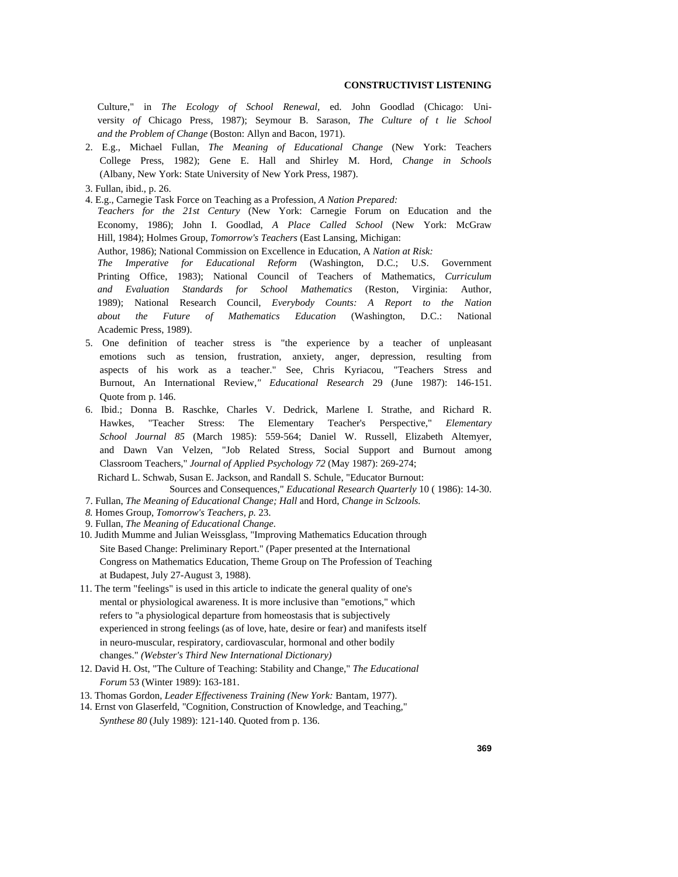Culture," in *The Ecology of School Renewal,* ed. John Goodlad (Chicago: University *of* Chicago Press, 1987); Seymour B. Sarason, *The Culture of t lie School and the Problem of Change* (Boston: Allyn and Bacon, 1971).

2. E.g., Michael Fullan, *The Meaning of Educational Change* (New York: Teachers College Press, 1982); Gene E. Hall and Shirley M. Hord, *Change in Schools* (Albany, New York: State University of New York Press, 1987).

- 4. E.g., Carnegie Task Force on Teaching as a Profession, *A Nation Prepared:*
- *Teachers for the 21st Century* (New York: Carnegie Forum on Education and the Economy, 1986); John I. Goodlad, *A Place Called School* (New York: McGraw Hill, 1984); Holmes Group, *Tomorrow's Teachers* (East Lansing, Michigan:

Author, 1986); National Commission on Excellence in Education, A *Nation at Risk:*

- *The Imperative for Educational Reform* (Washington, D.C.; U.S. Government Printing Office, 1983); National Council of Teachers of Mathematics, *Curriculum and Evaluation Standards for School Mathematics* (Reston, Virginia: Author, 1989); National Research Council, *Everybody Counts: A Report to the Nation about the Future of Mathematics Education* (Washington, D.C.: National Academic Press, 1989).
- 5. One definition of teacher stress is "the experience by a teacher of unpleasant emotions such as tension, frustration, anxiety, anger, depression, resulting from aspects of his work as a teacher." See, Chris Kyriacou, "Teachers Stress and Burnout, An International Review,*" Educational Research* 29 (June 1987): 146-151. Quote from p. 146.
- 6. Ibid.; Donna B. Raschke, Charles V. Dedrick, Marlene I. Strathe, and Richard R. Hawkes, "Teacher Stress: The Elementary Teacher's Perspective," *Elementary School Journal 85* (March 1985): 559-564; Daniel W. Russell, Elizabeth Altemyer, and Dawn Van Velzen, "Job Related Stress, Social Support and Burnout among Classroom Teachers," *Journal of Applied Psychology 72* (May 1987): 269-274;

Richard L. Schwab, Susan E. Jackson, and Randall S. Schule, "Educator Burnout:

Sources and Consequences," *Educational Research Quarterly* 10 ( 1986): 14-30.

- 7. Fullan, *The Meaning of Educational Change; Hall* and Hord, *Change in Sclzools.*
- *8.* Homes Group, *Tomorrow's Teachers, p.* 23.
- 9. Fullan, *The Meaning of Educational Change.*
- 10. Judith Mumme and Julian Weissglass, "Improving Mathematics Education through Site Based Change: Preliminary Report." (Paper presented at the International Congress on Mathematics Education, Theme Group on The Profession of Teaching at Budapest, July 27-August 3, 1988).
- 11. The term "feelings" is used in this article to indicate the general quality of one's mental or physiological awareness. It is more inclusive than "emotions," which refers to "a physiological departure from homeostasis that is subjectively experienced in strong feelings (as of love, hate, desire or fear) and manifests itself in neuro-muscular, respiratory, cardiovascular, hormonal and other bodily changes." *(Webster's Third New International Dictionary)*
- 12. David H. Ost, "The Culture of Teaching: Stability and Change," *The Educational Forum* 53 (Winter 1989): 163-181.
- 13. Thomas Gordon, *Leader Effectiveness Training (New York:* Bantam, 1977).
- 14. Ernst von Glaserfeld, "Cognition, Construction of Knowledge, and Teaching," *Synthese 80* (July 1989): 121-140. Quoted from p. 136.

<sup>3.</sup> Fullan, ibid., p. 26.